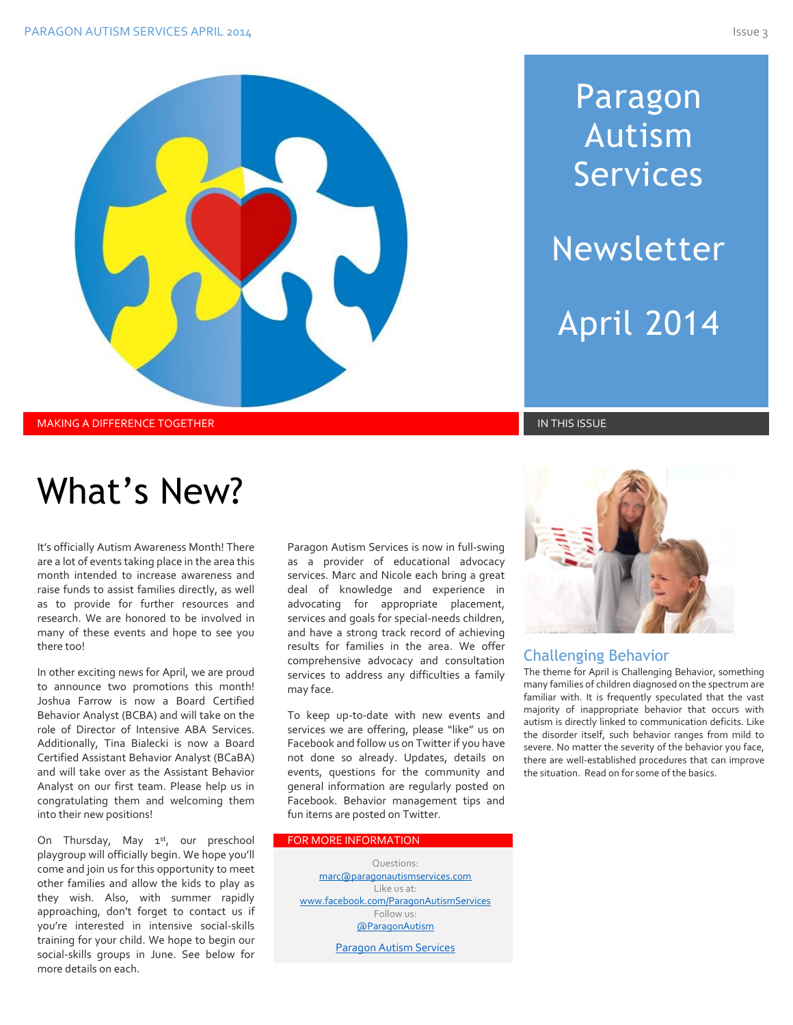# Paragon Autism Services Newsletter April 2014

MAKING A DIFFERENCE TOGETHER IN THIS ISSUE IN THIS ISSUE IN THIS ISSUE IN THIS ISSUE IN THIS ISSUE

## What's New?

It's officially Autism Awareness Month! There are a lot of events taking place in the area this month intended to increase awareness and raise funds to assist families directly, as well as to provide for further resources and research. We are honored to be involved in many of these events and hope to see you there too!

In other exciting news for April, we are proud to announce two promotions this month! Joshua Farrow is now a Board Certified Behavior Analyst (BCBA) and will take on the role of Director of Intensive ABA Services. Additionally, Tina Bialecki is now a Board Certified Assistant Behavior Analyst (BCaBA) and will take over as the Assistant Behavior Analyst on our first team. Please help us in congratulating them and welcoming them into their new positions!

On Thursday, May 1<sup>st</sup>, our preschool playgroup will officially begin. We hope you'll come and join us for this opportunity to meet other families and allow the kids to play as they wish. Also, with summer rapidly approaching, don't forget to contact us if you're interested in intensive social-skills training for your child. We hope to begin our social-skills groups in June. See below for more details on each.

Paragon Autism Services is now in full-swing as a provider of educational advocacy services. Marc and Nicole each bring a great deal of knowledge and experience in advocating for appropriate placement, services and goals for special-needs children, and have a strong track record of achieving results for families in the area. We offer comprehensive advocacy and consultation services to address any difficulties a family may face.

To keep up-to-date with new events and services we are offering, please "like" us on Facebook and follow us on Twitter if you have not done so already. Updates, details on events, questions for the community and general information are regularly posted on Facebook. Behavior management tips and fun items are posted on Twitter.

#### FOR MORE INFORMATION

Questions: [marc@paragonautismservices.com](mailto:marc@paragonautismservices.com)  Like us at: [www.facebook.com/ParagonAutismServices](http://www.facebook.com/ParagonAutismServices)  Follow us: [@ParagonAutism](https://twitter.com/ParagonAutism) [Paragon Autism Services](http://paragonautismservices.com/)



#### Challenging Behavior

The theme for April is Challenging Behavior, something many families of children diagnosed on the spectrum are familiar with. It is frequently speculated that the vast majority of inappropriate behavior that occurs with autism is directly linked to communication deficits. Like the disorder itself, such behavior ranges from mild to severe. No matter the severity of the behavior you face, there are well-established procedures that can improve the situation. Read on for some of the basics.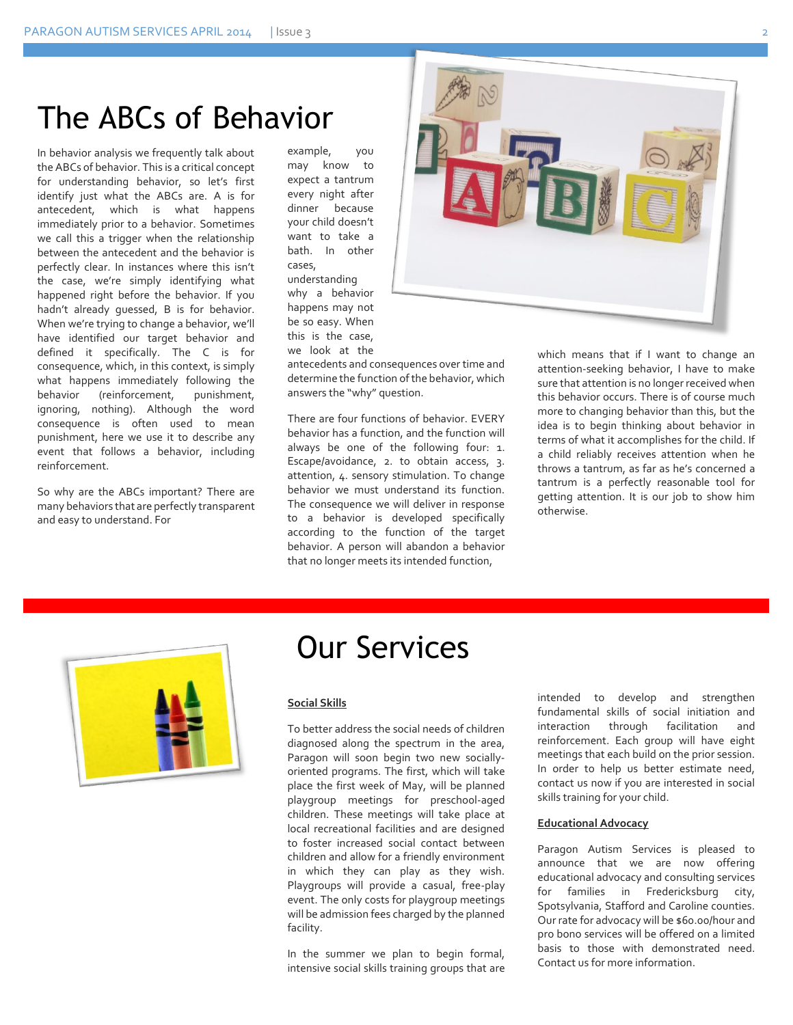### The ABCs of Behavior

In behavior analysis we frequently talk about the ABCs of behavior. This is a critical concept for understanding behavior, so let's first identify just what the ABCs are. A is for antecedent, which is what happens immediately prior to a behavior. Sometimes we call this a trigger when the relationship between the antecedent and the behavior is perfectly clear. In instances where this isn't the case, we're simply identifying what happened right before the behavior. If you hadn't already guessed, B is for behavior. When we're trying to change a behavior, we'll have identified our target behavior and defined it specifically. The C is for consequence, which, in this context, is simply what happens immediately following the behavior (reinforcement, punishment, ignoring, nothing). Although the word consequence is often used to mean punishment, here we use it to describe any event that follows a behavior, including reinforcement.

So why are the ABCs important? There are many behaviors that are perfectly transparent and easy to understand. For

example, you may know to expect a tantrum every night after dinner because your child doesn't want to take a bath. In other cases, understanding why a behavior happens may not be so easy. When this is the case, we look at the

antecedents and consequences over time and determine the function of the behavior, which answers the "why" question.

There are four functions of behavior. EVERY behavior has a function, and the function will always be one of the following four: 1. Escape/avoidance, 2. to obtain access, 3. attention, 4. sensory stimulation. To change behavior we must understand its function. The consequence we will deliver in response to a behavior is developed specifically according to the function of the target behavior. A person will abandon a behavior that no longer meets its intended function,





### Our Services

#### **Social Skills**

To better address the social needs of children diagnosed along the spectrum in the area, Paragon will soon begin two new sociallyoriented programs. The first, which will take place the first week of May, will be planned playgroup meetings for prescho0l-aged children. These meetings will take place at local recreational facilities and are designed to foster increased social contact between children and allow for a friendly environment in which they can play as they wish. Playgroups will provide a casual, free-play event. The only costs for playgroup meetings will be admission fees charged by the planned facility.

In the summer we plan to begin formal, intensive social skills training groups that are intended to develop and strengthen fundamental skills of social initiation and interaction through facilitation and reinforcement. Each group will have eight meetings that each build on the prior session. In order to help us better estimate need, contact us now if you are interested in social skills training for your child.

#### **Educational Advocacy**

Paragon Autism Services is pleased to announce that we are now offering educational advocacy and consulting services for families in Fredericksburg city, Spotsylvania, Stafford and Caroline counties. Our rate for advocacy will be \$60.00/hour and pro bono services will be offered on a limited basis to those with demonstrated need. Contact us for more information.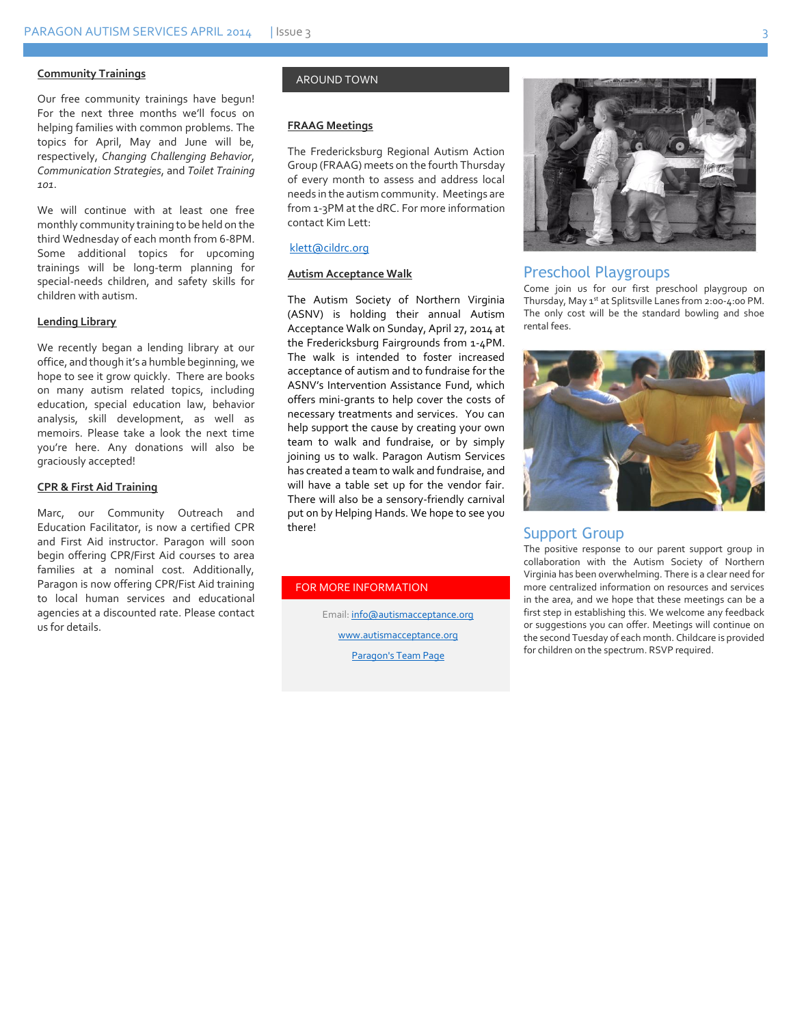#### **Community Trainings**

Our free community trainings have begun! For the next three months we'll focus on helping families with common problems. The topics for April, May and June will be, respectively, *Changing Challenging Behavior*, *Communication Strategies*, and *Toilet Training 101*.

We will continue with at least one free monthly community training to be held on the third Wednesday of each month from 6-8PM. Some additional topics for upcoming trainings will be long-term planning for special-needs children, and safety skills for children with autism.

#### **Lending Library**

We recently began a lending library at our office, and though it's a humble beginning, we hope to see it grow quickly. There are books on many autism related topics, including education, special education law, behavior analysis, skill development, as well as memoirs. Please take a look the next time you're here. Any donations will also be graciously accepted!

#### **CPR & First Aid Training**

Marc, our Community Outreach and Education Facilitator, is now a certified CPR and First Aid instructor. Paragon will soon begin offering CPR/First Aid courses to area families at a nominal cost. Additionally, Paragon is now offering CPR/Fist Aid training to local human services and educational agencies at a discounted rate. Please contact us for details.

#### AROUND TOWN

#### **FRAAG Meetings**

The Fredericksburg Regional Autism Action Group (FRAAG) meets on the fourth Thursday of every month to assess and address local needs in the autism community. Meetings are from 1-3PM at the dRC. For more information contact Kim Lett:

#### [klett@cildrc.org](mailto:klett@cildrc.org)

#### **Autism Acceptance Walk**

The Autism Society of Northern Virginia (ASNV) is holding their annual Autism Acceptance Walk on Sunday, April 27, 2014 at the Fredericksburg Fairgrounds from 1-4PM. The walk is intended to foster increased acceptance of autism and to fundraise for the ASNV's Intervention Assistance Fund, which offers mini-grants to help cover the costs of necessary treatments and services. You can help support the cause by creating your own team to walk and fundraise, or by simply joining us to walk. Paragon Autism Services has created a team to walk and fundraise, and will have a table set up for the vendor fair. There will also be a sensory-friendly carnival put on by Helping Hands. We hope to see you there!

#### FOR MORE INFORMATION

Email[: info@autismacceptance.org](mailto:info@autismacceptance.org) [www.autismacceptance.org](http://www.autismacceptance.org/) Paragon's [Team Page](http://autismacceptance.org/teams/detail/c492ca3f6b)



#### Preschool Playgroups

Come join us for our first preschool playgroup on Thursday, May 1st at Splitsville Lanes from 2:00-4:00 PM. The only cost will be the standard bowling and shoe rental fees.



#### Support Group

The positive response to our parent support group in collaboration with the Autism Society of Northern Virginia has been overwhelming. There is a clear need for more centralized information on resources and services in the area, and we hope that these meetings can be a first step in establishing this. We welcome any feedback or suggestions you can offer. Meetings will continue on the second Tuesday of each month. Childcare is provided for children on the spectrum. RSVP required.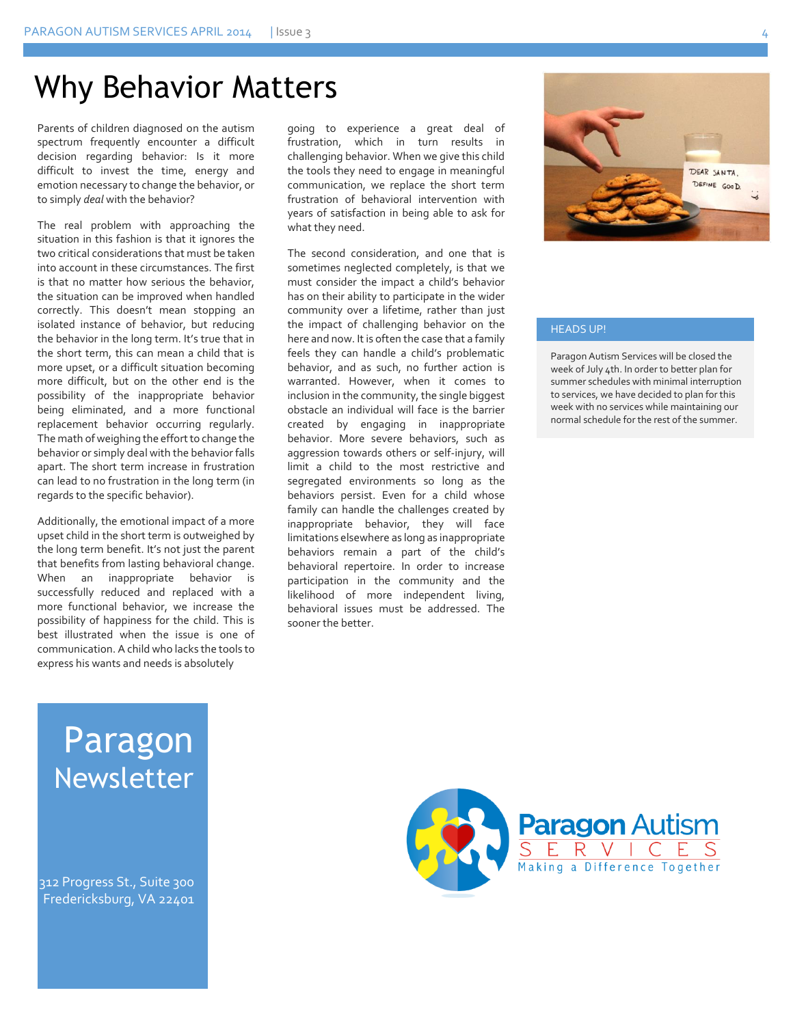### Why Behavior Matters

Parents of children diagnosed on the autism spectrum frequently encounter a difficult decision regarding behavior: Is it more difficult to invest the time, energy and emotion necessary to change the behavior, or to simply *deal* with the behavior?

The real problem with approaching the situation in this fashion is that it ignores the two critical considerations that must be taken into account in these circumstances. The first is that no matter how serious the behavior, the situation can be improved when handled correctly. This doesn't mean stopping an isolated instance of behavior, but reducing the behavior in the long term. It's true that in the short term, this can mean a child that is more upset, or a difficult situation becoming more difficult, but on the other end is the possibility of the inappropriate behavior being eliminated, and a more functional replacement behavior occurring regularly. The math of weighing the effort to change the behavior or simply deal with the behavior falls apart. The short term increase in frustration can lead to no frustration in the long term (in regards to the specific behavior).

Additionally, the emotional impact of a more upset child in the short term is outweighed by the long term benefit. It's not just the parent that benefits from lasting behavioral change. When an inappropriate behavior is successfully reduced and replaced with a more functional behavior, we increase the possibility of happiness for the child. This is best illustrated when the issue is one of communication. A child who lacks the tools to express his wants and needs is absolutely

going to experience a great deal of frustration, which in turn results in challenging behavior. When we give this child the tools they need to engage in meaningful communication, we replace the short term frustration of behavioral intervention with years of satisfaction in being able to ask for what they need.

The second consideration, and one that is sometimes neglected completely, is that we must consider the impact a child's behavior has on their ability to participate in the wider community over a lifetime, rather than just the impact of challenging behavior on the here and now. It is often the case that a family feels they can handle a child's problematic behavior, and as such, no further action is warranted. However, when it comes to inclusion in the community, the single biggest obstacle an individual will face is the barrier created by engaging in inappropriate behavior. More severe behaviors, such as aggression towards others or self-injury, will limit a child to the most restrictive and segregated environments so long as the behaviors persist. Even for a child whose family can handle the challenges created by inappropriate behavior, they will face limitations elsewhere as long as inappropriate behaviors remain a part of the child's behavioral repertoire. In order to increase participation in the community and the likelihood of more independent living, behavioral issues must be addressed. The sooner the better.



#### HEADS UP!

Paragon Autism Services will be closed the week of July 4th. In order to better plan for summer schedules with minimal interruption to services, we have decided to plan for this week with no services while maintaining our normal schedule for the rest of the summer.

### Paragon Newsletter

312 Progress St., Suite 300 Fredericksburg, VA 22401